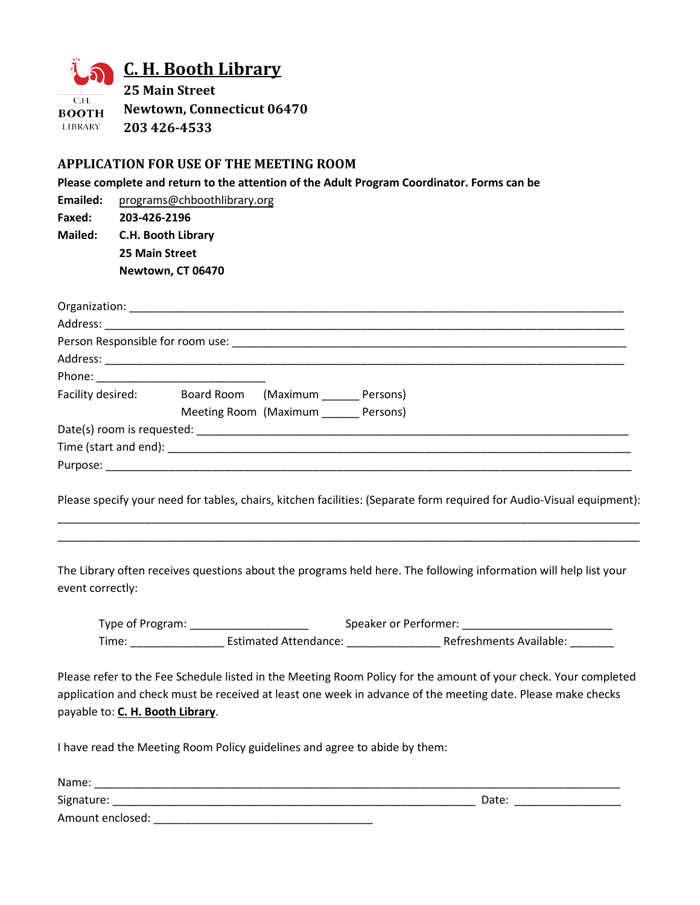

## **C. H. Booth Library**

**25 Main Street Newtown, Connecticut 06470 203 426-4533 LIBRARY** 

## **APPLICATION FOR USE OF THE MEETING ROOM**

**Please complete and return to the attention of the Adult Program Coordinator. Forms can be** 

**Emailed:** [programs@chboothlibrary.org](mailto:programs@chboothlibrary.org) **Faxed: 203-426-2196 Mailed: C.H. Booth Library 25 Main Street Newtown, CT 06470**

|                            | Facility desired: Board Room (Maximum Persons) |
|----------------------------|------------------------------------------------|
|                            | Meeting Room (Maximum _______ Persons)         |
|                            |                                                |
|                            |                                                |
| Purpose: _________________ |                                                |

Please specify your need for tables, chairs, kitchen facilities: (Separate form required for Audio-Visual equipment): \_\_\_\_\_\_\_\_\_\_\_\_\_\_\_\_\_\_\_\_\_\_\_\_\_\_\_\_\_\_\_\_\_\_\_\_\_\_\_\_\_\_\_\_\_\_\_\_\_\_\_\_\_\_\_\_\_\_\_\_\_\_\_\_\_\_\_\_\_\_\_\_\_\_\_\_\_\_\_\_\_\_\_\_\_\_\_\_\_\_\_\_\_

\_\_\_\_\_\_\_\_\_\_\_\_\_\_\_\_\_\_\_\_\_\_\_\_\_\_\_\_\_\_\_\_\_\_\_\_\_\_\_\_\_\_\_\_\_\_\_\_\_\_\_\_\_\_\_\_\_\_\_\_\_\_\_\_\_\_\_\_\_\_\_\_\_\_\_\_\_\_\_\_\_\_\_\_\_\_\_\_\_\_\_\_\_

The Library often receives questions about the programs held here. The following information will help list your event correctly:

| Type of Program: |                              | Speaker or Performer:   |
|------------------|------------------------------|-------------------------|
| Time:            | <b>Estimated Attendance:</b> | Refreshments Available: |

Please refer to the Fee Schedule listed in the Meeting Room Policy for the amount of your check. Your completed application and check must be received at least one week in advance of the meeting date. Please make checks payable to: **C. H. Booth Library**.

I have read the Meeting Room Policy guidelines and agree to abide by them:

| Name:            |       |  |
|------------------|-------|--|
| Signature:       | Date: |  |
| Amount enclosed: |       |  |